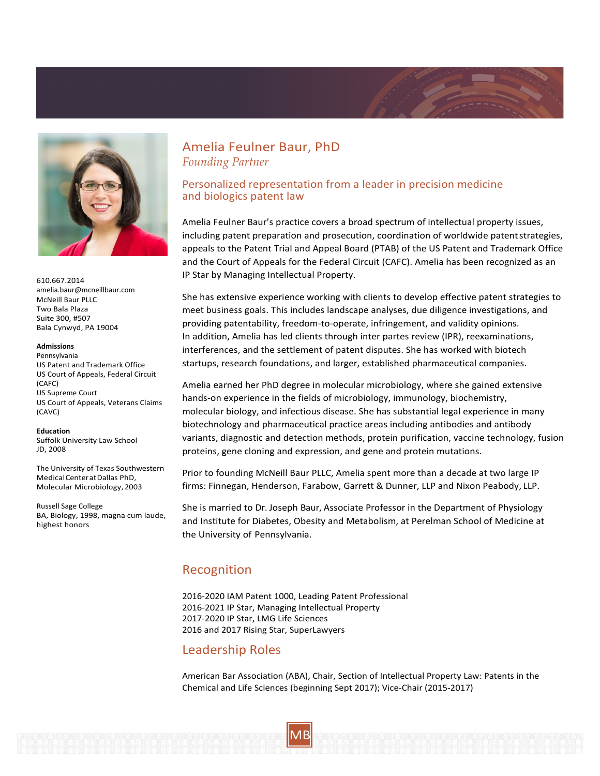



610.667.2014 [amelia.baur@mcneillbaur.com](mailto:amelia.baur@mcneillbaur.com) McNeill Baur PLLC Two Bala Plaza Suite 300, #507 Bala Cynwyd, PA 19004

#### **Admissions**

Pennsylvania US Patent and Trademark Office US Court of Appeals, Federal Circuit (CAFC) US Supreme Court US Court of Appeals, Veterans Claims (CAVC)

#### **Education**

Suffolk University Law School JD, 2008

The University of Texas Southwestern MedicalCenteratDallas PhD, Molecular Microbiology, 2003

Russell Sage College BA, Biology, 1998, magna cum laude, highest honors

# Amelia Feulner Baur, PhD *Founding Partner*

### Personalized representation from a leader in precision medicine and biologics patent law

Amelia Feulner Baur's practice covers a broad spectrum of intellectual property issues, including patent preparation and prosecution, coordination of worldwide patentstrategies, appeals to the Patent Trial and Appeal Board (PTAB) of the US Patent and Trademark Office and the Court of Appeals for the Federal Circuit (CAFC). Amelia has been recognized as an IP Star by Managing Intellectual Property.

She has extensive experience working with clients to develop effective patent strategies to meet business goals. This includes landscape analyses, due diligence investigations, and providing patentability, freedom-to-operate, infringement, and validity opinions. In addition, Amelia has led clients through inter partes review (IPR), reexaminations, interferences, and the settlement of patent disputes. She has worked with biotech startups, research foundations, and larger, established pharmaceutical companies.

Amelia earned her PhD degree in molecular microbiology, where she gained extensive hands‐on experience in the fields of microbiology, immunology, biochemistry, molecular biology, and infectious disease. She has substantial legal experience in many biotechnology and pharmaceutical practice areas including antibodies and antibody variants, diagnostic and detection methods, protein purification, vaccine technology, fusion proteins, gene cloning and expression, and gene and protein mutations.

Prior to founding McNeill Baur PLLC, Amelia spent more than a decade at two large IP firms: Finnegan, Henderson, Farabow, Garrett & Dunner, LLP and Nixon Peabody, LLP.

She is married to Dr. Joseph Baur, Associate Professor in the Department of Physiology and Institute for Diabetes, Obesity and Metabolism, at Perelman School of Medicine at the University of Pennsylvania.

# Recognition

2016‐2020 IAM Patent 1000, Leading Patent Professional 2016‐2021 IP Star, Managing Intellectual Property 2017‐2020 IP Star, LMG Life Sciences 2016 and 2017 Rising Star, SuperLawyers

## Leadership Roles

American Bar Association (ABA), Chair, Section of Intellectual Property Law: Patents in the Chemical and Life Sciences (beginning Sept 2017); Vice‐Chair (2015‐2017)

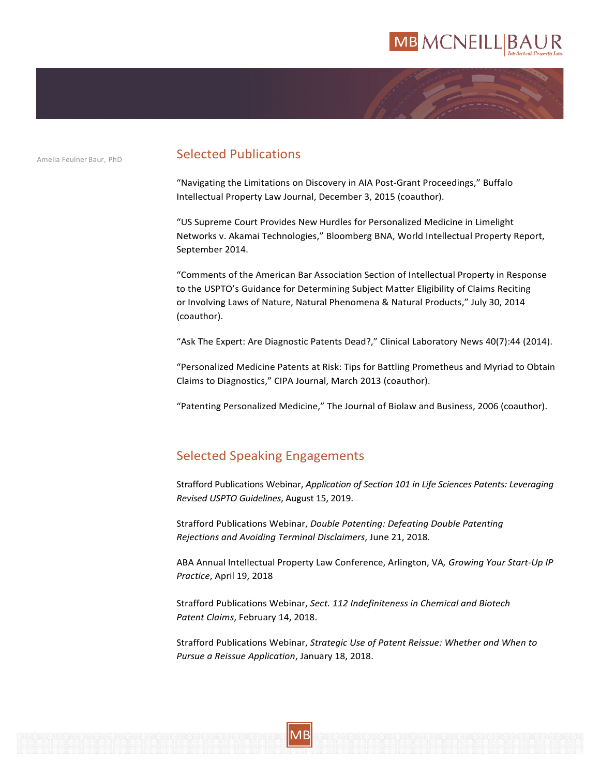# **MB MCNEILLIBAI**



# Amelia Feulner Baur, PhD **Selected Publications**

"Navigating the Limitations on Discovery in AIA Post‐Grant Proceedings," Buffalo Intellectual Property Law Journal, December 3, 2015 (coauthor).

"US Supreme Court Provides New Hurdles for Personalized Medicine in Limelight Networks v. Akamai Technologies," Bloomberg BNA, World Intellectual Property Report, September 2014.

"Comments of the American Bar Association Section of Intellectual Property in Response to the USPTO's Guidance for Determining Subject Matter Eligibility of Claims Reciting or Involving Laws of Nature, Natural Phenomena & Natural Products," July 30, 2014 (coauthor).

"Ask The Expert: Are Diagnostic Patents Dead?," Clinical Laboratory News 40(7):44 (2014).

"Personalized Medicine Patents at Risk: Tips for Battling Prometheus and Myriad to Obtain Claims to Diagnostics," CIPA Journal, March 2013 (coauthor).

"Patenting Personalized Medicine," The Journal of Biolaw and Business, 2006 (coauthor).

# Selected Speaking Engagements

Strafford Publications Webinar, *Application of Section 101 in Life Sciences Patents: Leveraging Revised USPTO Guidelines*, August 15, 2019.

Strafford Publications Webinar, *Double Patenting: Defeating Double Patenting Rejections and Avoiding Terminal Disclaimers*, June 21, 2018.

ABA Annual Intellectual Property Law Conference, Arlington, VA*, Growing Your Start-Up IP Practice*, April 19, 2018

Strafford Publications Webinar, *Sect. 112 Indefiniteness in Chemical and Biotech Patent Claims*, February 14, 2018.

Strafford Publications Webinar, *Strategic Use of Patent Reissue: Whether and When to Pursue a Reissue Application*, January 18, 2018.